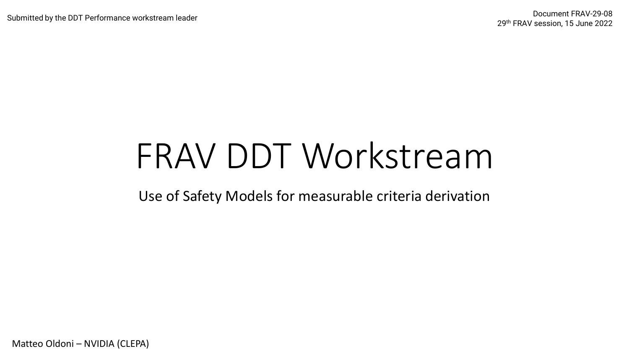# FRAV DDT Workstream

Use of Safety Models for measurable criteria derivation

Matteo Oldoni – NVIDIA (CLEPA)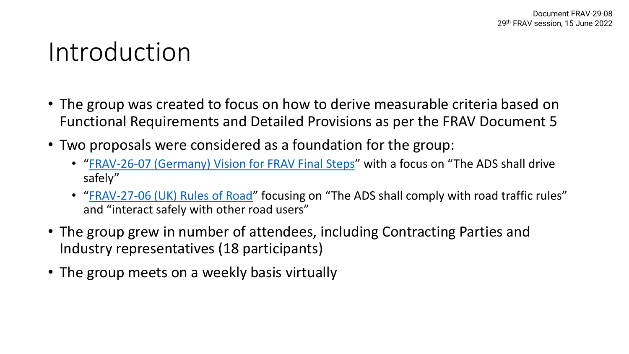### Introduction

- The group was created to focus on how to derive measurable criteria based on Functional Requirements and Detailed Provisions as per the FRAV Document 5
- Two proposals were considered as a foundation for the group:
	- "[FRAV-26-07 \(Germany\) Vision for FRAV Final Steps](https://wiki.unece.org/download/attachments/158236734/FRAV-26-07.pdf?api=v2)" with a focus on "The ADS shall drive safely"
	- "[FRAV-27-06 \(UK\) Rules of Road](https://wiki.unece.org/download/attachments/161841375/FRAV-27-06.pdf?api=v2)" focusing on "The ADS shall comply with road traffic rules" and "interact safely with other road users"
- The group grew in number of attendees, including Contracting Parties and Industry representatives (18 participants)
- The group meets on a weekly basis virtually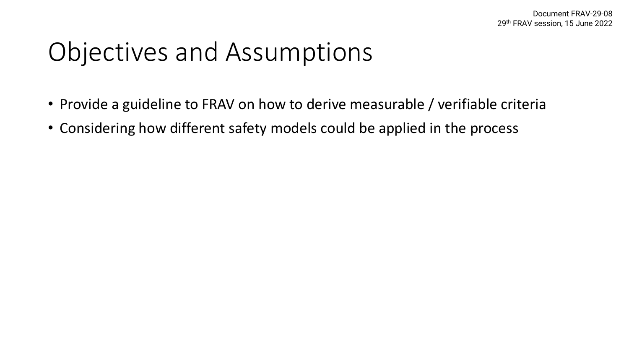# Objectives and Assumptions

- Provide a guideline to FRAV on how to derive measurable / verifiable criteria
- Considering how different safety models could be applied in the process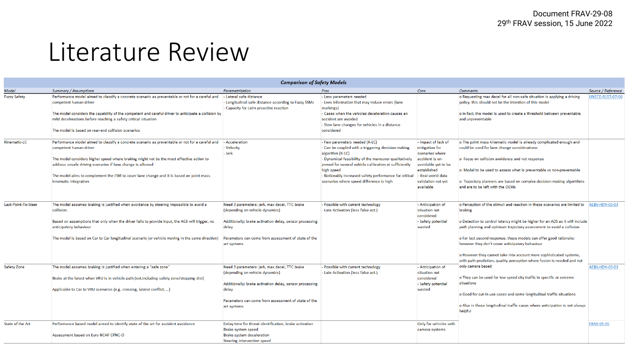#### Literature Review

| <b>Comparison of Safety Models</b> |                                                                                                                                                                                                                                                                                                                                                                                                         |                                                                                                                                                                                                                            |                                                                                                                                                                                                                                                                                                                                                 |                                                                                                                                                                           |                                                                                                                                                                                                                                                                                                                                                                                                                                                                                                                          |                         |  |  |  |
|------------------------------------|---------------------------------------------------------------------------------------------------------------------------------------------------------------------------------------------------------------------------------------------------------------------------------------------------------------------------------------------------------------------------------------------------------|----------------------------------------------------------------------------------------------------------------------------------------------------------------------------------------------------------------------------|-------------------------------------------------------------------------------------------------------------------------------------------------------------------------------------------------------------------------------------------------------------------------------------------------------------------------------------------------|---------------------------------------------------------------------------------------------------------------------------------------------------------------------------|--------------------------------------------------------------------------------------------------------------------------------------------------------------------------------------------------------------------------------------------------------------------------------------------------------------------------------------------------------------------------------------------------------------------------------------------------------------------------------------------------------------------------|-------------------------|--|--|--|
| <b>Model</b>                       | <b>Summary / Assumptions</b>                                                                                                                                                                                                                                                                                                                                                                            | Parametrization                                                                                                                                                                                                            | Pros                                                                                                                                                                                                                                                                                                                                            | Cons                                                                                                                                                                      | <b>Comments</b>                                                                                                                                                                                                                                                                                                                                                                                                                                                                                                          | Source / Reference      |  |  |  |
| <b>Fuzzy Safety</b>                | Performance model aimed to classify a concrete scenario as preventable or not for a careful and<br>competent human driver<br>The model considers the capability of the competent and careful driver to anticipate a collision by<br>mild decelerations before reaching a safety critical situation<br>The model is based on rear-end collision scenarios                                                | - Lateral safe distance<br>- Longitudinal safe distance according to Fuzzy SSMs<br>- Capacity for calm proactive reaction                                                                                                  | - Less parameters needed<br>- Lees information that may induce errors (lane<br>markings)<br>- Cases when the vehicles deceleration causes an<br>accident are avoided<br>- Slow lane changes for vehicles in a distance<br>considered                                                                                                            |                                                                                                                                                                           | o Requesting max decel for all non-safe situation is applying a driving<br>policy, this should not be the intention of this model<br>o In fact, the model is used to create a threshold between preventable<br>and unpreventable                                                                                                                                                                                                                                                                                         | <b>UNECE-R157-07-06</b> |  |  |  |
| Kinematic-LC                       | Performance model aimed to classify a concrete scenario as preventable or not for a careful and<br>competent human driver<br>The model considers higher speed where braking might not be the most effective action to<br>address unsafe driving scenarios if lane change is allowed<br>The model aims to complement the FSM to cover lane change and it is based on point mass<br>kinematic integration | Acceleration<br>- Velocity<br>- Jerk                                                                                                                                                                                       | - Few parameters needed (K-LC)<br>- Can be coupled with a triggering decision-making<br>algorithm (K-LC)<br>- Dynamical feasibility of the maneuver qualitatively<br>proved for several vehicle calibration at sufficiently<br>high speed<br>- Noticeably increased safety performance for critical<br>scenarios where speed difference is high | - Impact of lack of<br>mitigation for<br>scenarios where<br>accident is un-<br>avoidable yet to be<br>established<br>- Real-world data<br>validation not yet<br>available | o The point mass kinematic model is already complicated enough and<br>could be used for lane change considerations<br>o Focus on collision avoidance and not response<br>o Model to be used to assess what is preventable vs non-preventable<br>o Trajectory planners are based on complex decision-making algortihms<br>and are to be left with the OEMs                                                                                                                                                                |                         |  |  |  |
| Last-Point-To-Steer                | The model assumes braking is justified when avoidance by steering impossible to avoid a<br>collision.<br>Based on assumptions that only when the driver fails to provide input, the AEB will trigger, no<br>anticipatory behaviour<br>The model is based on Car to Car longitudinal scenario (or vehicle moving in the same direction)                                                                  | Need 3 parameters: jerk, max decel, TTC brake<br>(depending on vehicle dynamics)<br>Additionally: brake activation delay, sensor processing<br>delay<br>Parameters can come from assessment of state of the<br>art systems | - Possible with current technology<br>- Late Activation (less false act.)                                                                                                                                                                                                                                                                       | - Anticipation of<br>situation not<br>considered<br>- Safety potential<br>wasted                                                                                          | o Perception of the stimuli and reaction in these scenarios are limited to<br>braking<br>o Detection to control latency might be higher for an ADS as it will include<br>path planning and optimum trajectory assessment to avoid a collision<br>o For last second response, these models can offer good rationale;<br>however they don't cover anticipatory behaviour<br>o However they cannot take into account more sophisticated systems,<br>with path prediction, quality perception where fusion is needed and not | AEBS-HDV-03-03          |  |  |  |
| <b>Safety Zone</b>                 | The model assumes braking is justified when entering a "safe zone"<br>Brake at the latest when VRU is in vehicle path (evt.including safety zone/stopping dist)<br>Applicable to Car to VRU scenarios (e.g. crossing, lateral conflict, )                                                                                                                                                               | Need 3 parameters: jerk, max decel, TTC brake<br>(depending on vehicle dynamics)<br>Additionally: brake activation delay, sensor processing<br>delay<br>Parameters can come from assessment of state of the<br>art systems | - Possible with current technology<br>- Late Activation (less false act.)                                                                                                                                                                                                                                                                       | - Anticipation of<br>situation not<br>considered<br>- Safety potential<br>wasted                                                                                          | only camera based<br>o They can be used for low speed city traffic in specific or extreme<br>situations<br>o Good for cut-in use-cases and some longitudinal traffic situations<br>o Also in those longitudinal traffic cases where anticipation is not always<br>helpful                                                                                                                                                                                                                                                | AEBS-HDV-03-03          |  |  |  |
| State of the Art                   | Performance based model aimed to identify state of the art for accident avoidance<br>Assessment based on Euro NCAP CPNC-O                                                                                                                                                                                                                                                                               | Delay time for threat identification, brake activation<br><b>Brake system speed</b><br><b>Brake system deceleration</b><br>Steering intervention speed                                                                     |                                                                                                                                                                                                                                                                                                                                                 | Only for vehicles with<br>camera systems                                                                                                                                  |                                                                                                                                                                                                                                                                                                                                                                                                                                                                                                                          | <b>FRAV-05-05</b>       |  |  |  |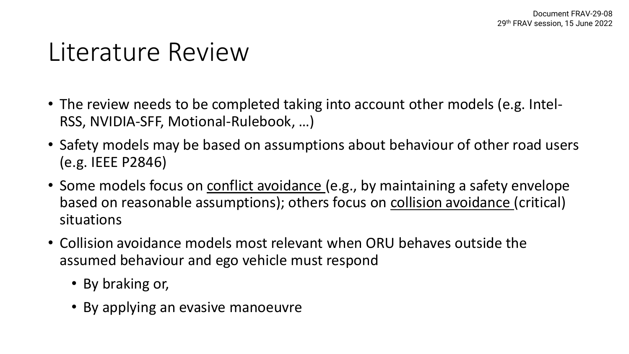### Literature Review

- The review needs to be completed taking into account other models (e.g. Intel-RSS, NVIDIA-SFF, Motional-Rulebook, …)
- Safety models may be based on assumptions about behaviour of other road users (e.g. IEEE P2846)
- Some models focus on conflict avoidance (e.g., by maintaining a safety envelope based on reasonable assumptions); others focus on collision avoidance (critical) situations
- Collision avoidance models most relevant when ORU behaves outside the assumed behaviour and ego vehicle must respond
	- By braking or,
	- By applying an evasive manoeuvre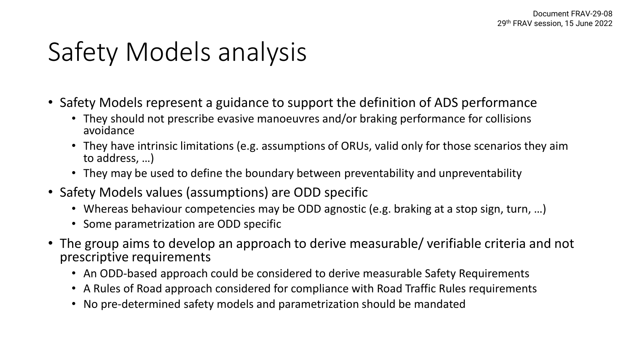# Safety Models analysis

- Safety Models represent a guidance to support the definition of ADS performance
	- They should not prescribe evasive manoeuvres and/or braking performance for collisions avoidance
	- They have intrinsic limitations (e.g. assumptions of ORUs, valid only for those scenarios they aim to address, …)
	- They may be used to define the boundary between preventability and unpreventability
- Safety Models values (assumptions) are ODD specific
	- Whereas behaviour competencies may be ODD agnostic (e.g. braking at a stop sign, turn, ...)
	- Some parametrization are ODD specific
- The group aims to develop an approach to derive measurable/ verifiable criteria and not prescriptive requirements
	- An ODD-based approach could be considered to derive measurable Safety Requirements
	- A Rules of Road approach considered for compliance with Road Traffic Rules requirements
	- No pre-determined safety models and parametrization should be mandated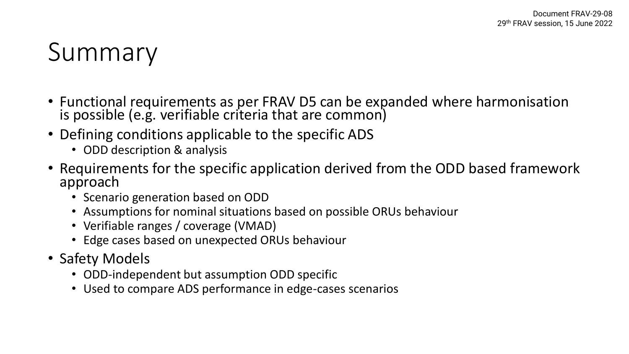# Summary

- Functional requirements as per FRAV D5 can be expanded where harmonisation is possible (e.g. verifiable criteria that are common)
- Defining conditions applicable to the specific ADS
	- ODD description & analysis
- Requirements for the specific application derived from the ODD based framework approach
	- Scenario generation based on ODD
	- Assumptions for nominal situations based on possible ORUs behaviour
	- Verifiable ranges / coverage (VMAD)
	- Edge cases based on unexpected ORUs behaviour
- Safety Models
	- ODD-independent but assumption ODD specific
	- Used to compare ADS performance in edge-cases scenarios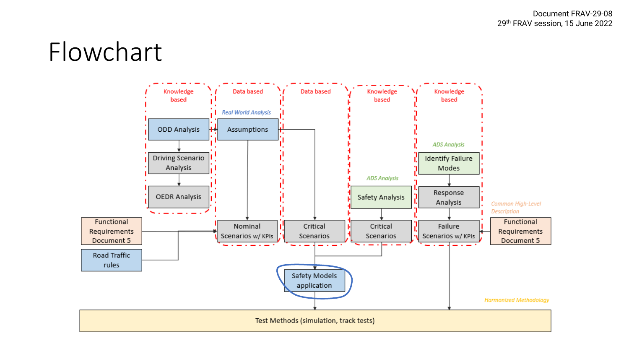### Flowchart

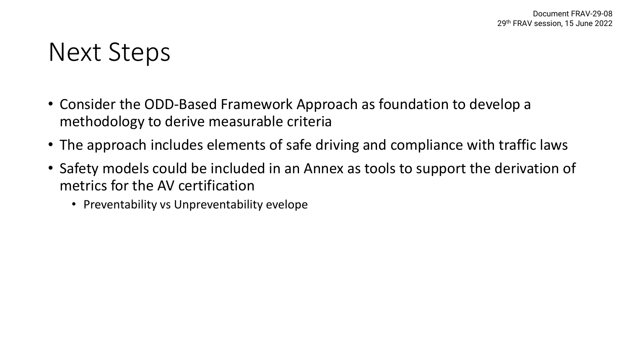### Next Steps

- Consider the ODD-Based Framework Approach as foundation to develop a methodology to derive measurable criteria
- The approach includes elements of safe driving and compliance with traffic laws
- Safety models could be included in an Annex as tools to support the derivation of metrics for the AV certification
	- Preventability vs Unpreventability evelope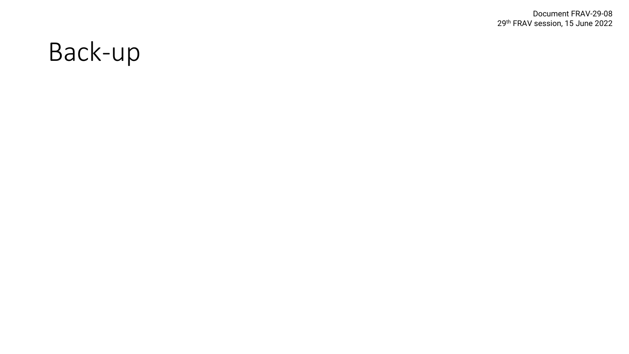Document FRAV -29 -08 29th FRAV session, 15 June 2022

# Back -up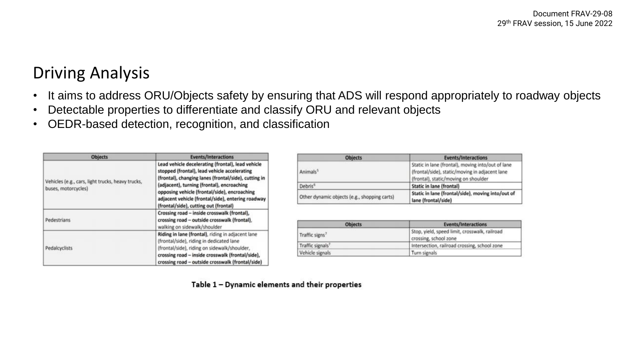#### Driving Analysis

- It aims to address ORU/Objects safety by ensuring that ADS will respond appropriately to roadway objects
- Detectable properties to differentiate and classify ORU and relevant objects
- OEDR-based detection, recognition, and classification

| <b>Objects</b>                                                           | <b>Events/Interactions</b>                                                                                                                                                                                                                                                                                                                            |  |  |
|--------------------------------------------------------------------------|-------------------------------------------------------------------------------------------------------------------------------------------------------------------------------------------------------------------------------------------------------------------------------------------------------------------------------------------------------|--|--|
| Vehicles (e.g., cars, light trucks, heavy trucks,<br>buses, motorcycles) | Lead vehicle decelerating (frontal), lead vehicle<br>stopped (frontal), lead vehicle accelerating<br>(frontal), changing lanes (frontal/side), cutting in<br>(adjacent), turning (frontal), encroaching<br>opposing vehicle (frontal/side), encroaching<br>adjacent vehicle (frontal/side), entering roadway<br>(frontal/side), cutting out (frontal) |  |  |
| <b>Pedestrians</b>                                                       | Crossing road - inside crosswalk (frontal),<br>crossing road - outside crosswalk (frontal),<br>walking on sidewalk/shoulder                                                                                                                                                                                                                           |  |  |
| Pedalcyclists                                                            | Riding in lane (frontal), riding in adjacent lane<br>(frontal/side), riding in dedicated lane<br>(frontal/side), riding on sidewalk/shoulder,<br>crossing road - inside crosswalk (frontal/side),<br>crossing road - outside crosswalk (frontal/side)                                                                                                 |  |  |

| <b>Objects</b>                               | <b>Events/Interactions</b>                                                                                                                  |  |  |
|----------------------------------------------|---------------------------------------------------------------------------------------------------------------------------------------------|--|--|
| Animals <sup>3</sup>                         | Static in lane (frontal), moving into/out of lane<br>(frontal/side), static/moving in adjacent lane<br>(frontal), static/moving on shoulder |  |  |
| Debris <sup>6</sup>                          | <b>Static in lane (frontal)</b>                                                                                                             |  |  |
| Other dynamic objects (e.g., shopping carts) | Static in lane (frontal/side), moving into/out of<br>lane (frontal/side)                                                                    |  |  |

| <b>Objects</b>               | <b>Events/Interactions</b>                                             |  |
|------------------------------|------------------------------------------------------------------------|--|
| Traffic signs <sup>7</sup>   | Stop, yield, speed limit, crosswalk, railroad<br>crossing, school zone |  |
| Traffic signals <sup>7</sup> | Intersection, railroad crossing, school zone                           |  |
| Vehicle signals              | Turn signals                                                           |  |

Table 1 - Dynamic elements and their properties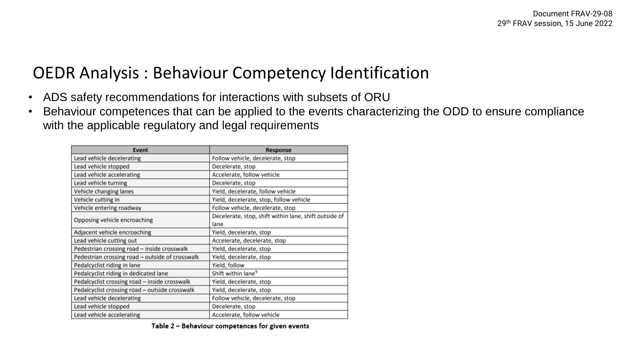#### OEDR Analysis : Behaviour Competency Identification

- ADS safety recommendations for interactions with subsets of ORU
- Behaviour competences that can be applied to the events characterizing the ODD to ensure compliance with the applicable regulatory and legal requirements

| <b>Event</b>                                    | <b>Response</b>                                       |  |  |
|-------------------------------------------------|-------------------------------------------------------|--|--|
| Lead vehicle decelerating                       | Follow vehicle, decelerate, stop                      |  |  |
| Lead vehicle stopped                            | Decelerate, stop                                      |  |  |
| Lead vehicle accelerating                       | Accelerate, follow vehicle                            |  |  |
| Lead vehicle turning                            | Decelerate, stop                                      |  |  |
| Vehicle changing lanes                          | Yield, decelerate, follow vehicle                     |  |  |
| Vehicle cutting in                              | Yield, decelerate, stop, follow vehicle               |  |  |
| Vehicle entering roadway                        | Follow vehicle, decelerate, stop                      |  |  |
| Opposing vehicle encroaching                    | Decelerate, stop, shift within lane, shift outside of |  |  |
|                                                 | lane                                                  |  |  |
| Adjacent vehicle encroaching                    | Yield, decelerate, stop                               |  |  |
| Lead vehicle cutting out                        | Accelerate, decelerate, stop                          |  |  |
| Pedestrian crossing road - inside crosswalk     | Yield, decelerate, stop                               |  |  |
| Pedestrian crossing road - outside of crosswalk | Yield, decelerate, stop                               |  |  |
| Pedalcyclist riding in lane                     | Yield, follow                                         |  |  |
| Pedalcyclist riding in dedicated lane           | Shift within lane <sup>9</sup>                        |  |  |
| Pedalcyclist crossing road - inside crosswalk   | Yield, decelerate, stop                               |  |  |
| Pedalcyclist crossing road - outside crosswalk  | Yield, decelerate, stop                               |  |  |
| Lead vehicle decelerating                       | Follow vehicle, decelerate, stop                      |  |  |
| Lead vehicle stopped                            | Decelerate, stop                                      |  |  |
| Lead vehicle accelerating                       | Accelerate, follow vehicle                            |  |  |